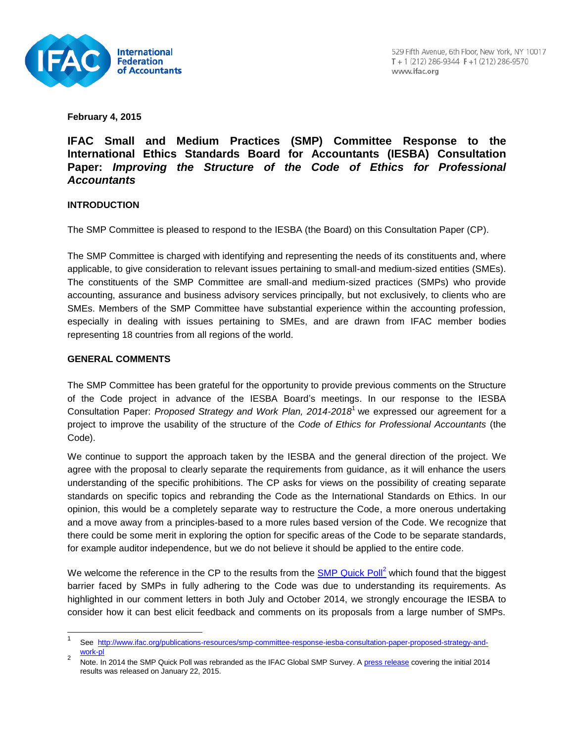

**February 4, 2015**

# **IFAC Small and Medium Practices (SMP) Committee Response to the International Ethics Standards Board for Accountants (IESBA) Consultation Paper:** *Improving the Structure of the Code of Ethics for Professional Accountants*

### **INTRODUCTION**

The SMP Committee is pleased to respond to the IESBA (the Board) on this Consultation Paper (CP).

The SMP Committee is charged with identifying and representing the needs of its constituents and, where applicable, to give consideration to relevant issues pertaining to small-and medium-sized entities (SMEs). The constituents of the SMP Committee are small-and medium-sized practices (SMPs) who provide accounting, assurance and business advisory services principally, but not exclusively, to clients who are SMEs. Members of the SMP Committee have substantial experience within the accounting profession, especially in dealing with issues pertaining to SMEs, and are drawn from IFAC member bodies representing 18 countries from all regions of the world.

### **GENERAL COMMENTS**

l

The SMP Committee has been grateful for the opportunity to provide previous comments on the Structure of the Code project in advance of the IESBA Board's meetings. In our response to the IESBA Consultation Paper: *Proposed Strategy and Work Plan, 2014-2018*<sup>1</sup> we expressed our agreement for a project to improve the usability of the structure of the *Code of Ethics for Professional Accountants* (the Code).

We continue to support the approach taken by the IESBA and the general direction of the project. We agree with the proposal to clearly separate the requirements from guidance, as it will enhance the users understanding of the specific prohibitions. The CP asks for views on the possibility of creating separate standards on specific topics and rebranding the Code as the International Standards on Ethics. In our opinion, this would be a completely separate way to restructure the Code, a more onerous undertaking and a move away from a principles-based to a more rules based version of the Code. We recognize that there could be some merit in exploring the option for specific areas of the Code to be separate standards, for example auditor independence, but we do not believe it should be applied to the entire code.

We welcome the reference in the CP to the results from the **SMP Quick Poll<sup>2</sup>** which found that the biggest barrier faced by SMPs in fully adhering to the Code was due to understanding its requirements. As highlighted in our comment letters in both July and October 2014, we strongly encourage the IESBA to consider how it can best elicit feedback and comments on its proposals from a large number of SMPs.

<sup>1</sup> See [http://www.ifac.org/publications-resources/smp-committee-response-iesba-consultation-paper-proposed-strategy-and](http://www.ifac.org/publications-resources/smp-committee-response-iesba-consultation-paper-proposed-strategy-and-work-pl)[work-pl](http://www.ifac.org/publications-resources/smp-committee-response-iesba-consultation-paper-proposed-strategy-and-work-pl)  $\mathfrak{p}$ 

Note. In 2014 the SMP Quick Poll was rebranded as the IFAC Global SMP Survey. [A press release](http://www.ifac.org/news-events/2015-01/ifac-global-smp-survey-identifies-key-challenges-facing-smps-globally) covering the initial 2014 results was released on January 22, 2015.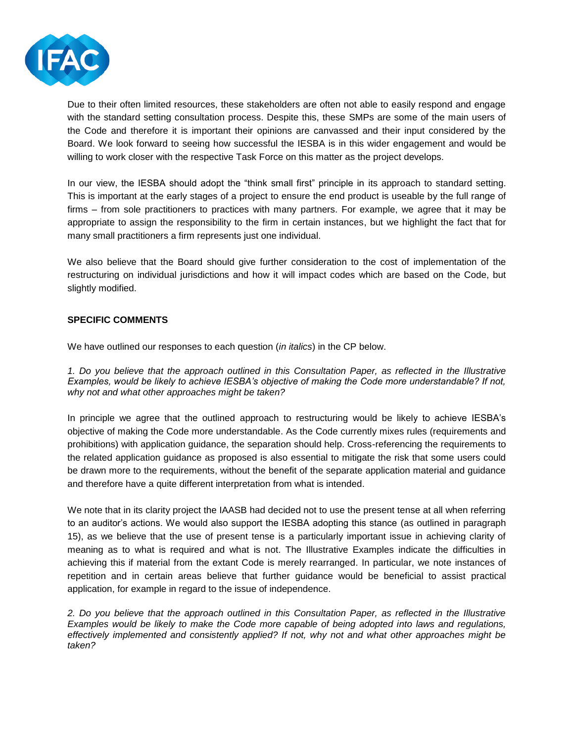

Due to their often limited resources, these stakeholders are often not able to easily respond and engage with the standard setting consultation process. Despite this, these SMPs are some of the main users of the Code and therefore it is important their opinions are canvassed and their input considered by the Board. We look forward to seeing how successful the IESBA is in this wider engagement and would be willing to work closer with the respective Task Force on this matter as the project develops.

In our view, the IESBA should adopt the "think small first" principle in its approach to standard setting. This is important at the early stages of a project to ensure the end product is useable by the full range of firms – from sole practitioners to practices with many partners. For example, we agree that it may be appropriate to assign the responsibility to the firm in certain instances, but we highlight the fact that for many small practitioners a firm represents just one individual.

We also believe that the Board should give further consideration to the cost of implementation of the restructuring on individual jurisdictions and how it will impact codes which are based on the Code, but slightly modified.

### **SPECIFIC COMMENTS**

We have outlined our responses to each question (*in italics*) in the CP below.

*1. Do you believe that the approach outlined in this Consultation Paper, as reflected in the Illustrative Examples, would be likely to achieve IESBA's objective of making the Code more understandable? If not, why not and what other approaches might be taken?* 

In principle we agree that the outlined approach to restructuring would be likely to achieve IESBA's objective of making the Code more understandable. As the Code currently mixes rules (requirements and prohibitions) with application guidance, the separation should help. Cross-referencing the requirements to the related application guidance as proposed is also essential to mitigate the risk that some users could be drawn more to the requirements, without the benefit of the separate application material and guidance and therefore have a quite different interpretation from what is intended.

We note that in its clarity project the IAASB had decided not to use the present tense at all when referring to an auditor's actions. We would also support the IESBA adopting this stance (as outlined in paragraph 15), as we believe that the use of present tense is a particularly important issue in achieving clarity of meaning as to what is required and what is not. The Illustrative Examples indicate the difficulties in achieving this if material from the extant Code is merely rearranged. In particular, we note instances of repetition and in certain areas believe that further guidance would be beneficial to assist practical application, for example in regard to the issue of independence.

*2. Do you believe that the approach outlined in this Consultation Paper, as reflected in the Illustrative Examples would be likely to make the Code more capable of being adopted into laws and regulations, effectively implemented and consistently applied? If not, why not and what other approaches might be taken?*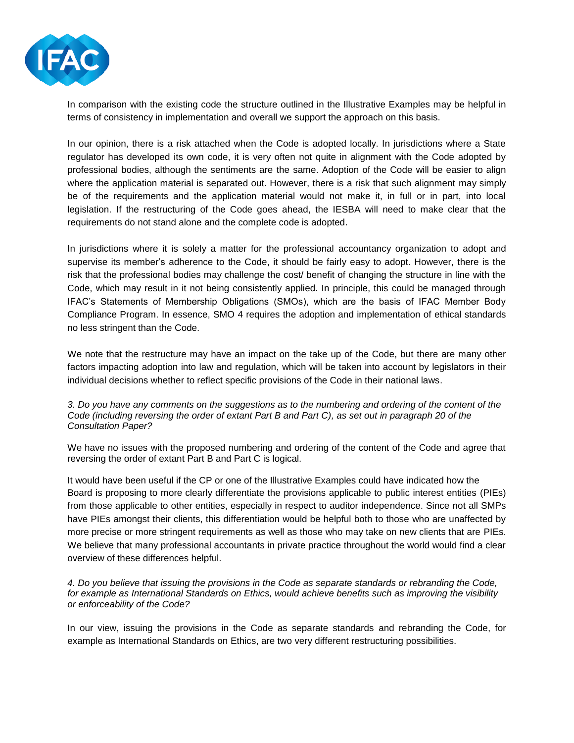

In comparison with the existing code the structure outlined in the Illustrative Examples may be helpful in terms of consistency in implementation and overall we support the approach on this basis.

In our opinion, there is a risk attached when the Code is adopted locally. In jurisdictions where a State regulator has developed its own code, it is very often not quite in alignment with the Code adopted by professional bodies, although the sentiments are the same. Adoption of the Code will be easier to align where the application material is separated out. However, there is a risk that such alignment may simply be of the requirements and the application material would not make it, in full or in part, into local legislation. If the restructuring of the Code goes ahead, the IESBA will need to make clear that the requirements do not stand alone and the complete code is adopted.

In jurisdictions where it is solely a matter for the professional accountancy organization to adopt and supervise its member's adherence to the Code, it should be fairly easy to adopt. However, there is the risk that the professional bodies may challenge the cost/ benefit of changing the structure in line with the Code, which may result in it not being consistently applied. In principle, this could be managed through IFAC's Statements of Membership Obligations (SMOs), which are the basis of IFAC Member Body Compliance Program. In essence, SMO 4 requires the adoption and implementation of ethical standards no less stringent than the Code.

We note that the restructure may have an impact on the take up of the Code, but there are many other factors impacting adoption into law and regulation, which will be taken into account by legislators in their individual decisions whether to reflect specific provisions of the Code in their national laws.

#### *3. Do you have any comments on the suggestions as to the numbering and ordering of the content of the Code (including reversing the order of extant Part B and Part C), as set out in paragraph 20 of the Consultation Paper?*

We have no issues with the proposed numbering and ordering of the content of the Code and agree that reversing the order of extant Part B and Part C is logical.

It would have been useful if the CP or one of the Illustrative Examples could have indicated how the Board is proposing to more clearly differentiate the provisions applicable to public interest entities (PIEs) from those applicable to other entities, especially in respect to auditor independence. Since not all SMPs have PIEs amongst their clients, this differentiation would be helpful both to those who are unaffected by more precise or more stringent requirements as well as those who may take on new clients that are PIEs. We believe that many professional accountants in private practice throughout the world would find a clear overview of these differences helpful.

*4. Do you believe that issuing the provisions in the Code as separate standards or rebranding the Code, for example as International Standards on Ethics, would achieve benefits such as improving the visibility or enforceability of the Code?* 

In our view, issuing the provisions in the Code as separate standards and rebranding the Code, for example as International Standards on Ethics, are two very different restructuring possibilities.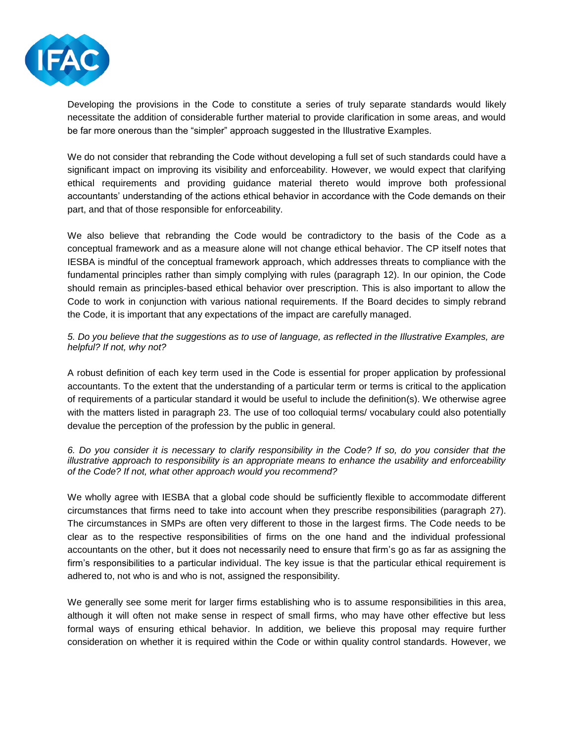

Developing the provisions in the Code to constitute a series of truly separate standards would likely necessitate the addition of considerable further material to provide clarification in some areas, and would be far more onerous than the "simpler" approach suggested in the Illustrative Examples.

We do not consider that rebranding the Code without developing a full set of such standards could have a significant impact on improving its visibility and enforceability. However, we would expect that clarifying ethical requirements and providing guidance material thereto would improve both professional accountants' understanding of the actions ethical behavior in accordance with the Code demands on their part, and that of those responsible for enforceability.

We also believe that rebranding the Code would be contradictory to the basis of the Code as a conceptual framework and as a measure alone will not change ethical behavior. The CP itself notes that IESBA is mindful of the conceptual framework approach, which addresses threats to compliance with the fundamental principles rather than simply complying with rules (paragraph 12). In our opinion, the Code should remain as principles-based ethical behavior over prescription. This is also important to allow the Code to work in conjunction with various national requirements. If the Board decides to simply rebrand the Code, it is important that any expectations of the impact are carefully managed.

*5. Do you believe that the suggestions as to use of language, as reflected in the Illustrative Examples, are helpful? If not, why not?* 

A robust definition of each key term used in the Code is essential for proper application by professional accountants. To the extent that the understanding of a particular term or terms is critical to the application of requirements of a particular standard it would be useful to include the definition(s). We otherwise agree with the matters listed in paragraph 23. The use of too colloquial terms/ vocabulary could also potentially devalue the perception of the profession by the public in general.

*6. Do you consider it is necessary to clarify responsibility in the Code? If so, do you consider that the illustrative approach to responsibility is an appropriate means to enhance the usability and enforceability of the Code? If not, what other approach would you recommend?* 

We wholly agree with IESBA that a global code should be sufficiently flexible to accommodate different circumstances that firms need to take into account when they prescribe responsibilities (paragraph 27). The circumstances in SMPs are often very different to those in the largest firms. The Code needs to be clear as to the respective responsibilities of firms on the one hand and the individual professional accountants on the other, but it does not necessarily need to ensure that firm's go as far as assigning the firm's responsibilities to a particular individual. The key issue is that the particular ethical requirement is adhered to, not who is and who is not, assigned the responsibility.

We generally see some merit for larger firms establishing who is to assume responsibilities in this area, although it will often not make sense in respect of small firms, who may have other effective but less formal ways of ensuring ethical behavior. In addition, we believe this proposal may require further consideration on whether it is required within the Code or within quality control standards. However, we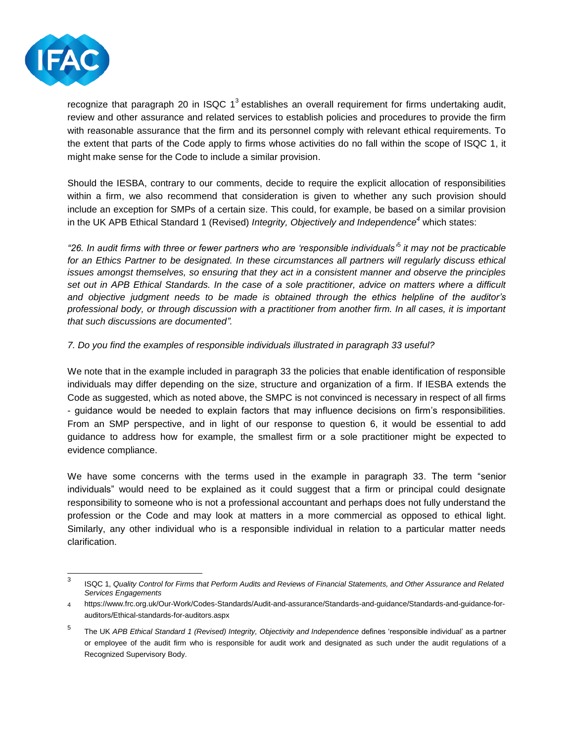

recognize that paragraph 20 in ISQC 1<sup>3</sup> establishes an overall requirement for firms undertaking audit, review and other assurance and related services to establish policies and procedures to provide the firm with reasonable assurance that the firm and its personnel comply with relevant ethical requirements. To the extent that parts of the Code apply to firms whose activities do no fall within the scope of ISQC 1, it might make sense for the Code to include a similar provision.

Should the IESBA, contrary to our comments, decide to require the explicit allocation of responsibilities within a firm, we also recommend that consideration is given to whether any such provision should include an exception for SMPs of a certain size. This could, for example, be based on a similar provision in the UK APB Ethical Standard 1 (Revised) *Integrity, Objectively and Independence<sup>4</sup>* which states:

*"26. In audit firms with three or fewer partners who are 'responsible individuals'*<sup>5</sup> *it may not be practicable for an Ethics Partner to be designated. In these circumstances all partners will regularly discuss ethical issues amongst themselves, so ensuring that they act in a consistent manner and observe the principles set out in APB Ethical Standards. In the case of a sole practitioner, advice on matters where a difficult and objective judgment needs to be made is obtained through the ethics helpline of the auditor's professional body, or through discussion with a practitioner from another firm. In all cases, it is important that such discussions are documented".*

## *7. Do you find the examples of responsible individuals illustrated in paragraph 33 useful?*

We note that in the example included in paragraph 33 the policies that enable identification of responsible individuals may differ depending on the size, structure and organization of a firm. If IESBA extends the Code as suggested, which as noted above, the SMPC is not convinced is necessary in respect of all firms - guidance would be needed to explain factors that may influence decisions on firm's responsibilities. From an SMP perspective, and in light of our response to question 6, it would be essential to add guidance to address how for example, the smallest firm or a sole practitioner might be expected to evidence compliance.

We have some concerns with the terms used in the example in paragraph 33. The term "senior individuals" would need to be explained as it could suggest that a firm or principal could designate responsibility to someone who is not a professional accountant and perhaps does not fully understand the profession or the Code and may look at matters in a more commercial as opposed to ethical light. Similarly, any other individual who is a responsible individual in relation to a particular matter needs clarification.

<sup>-&</sup>lt;br>3 ISQC 1, *Quality Control for Firms that Perform Audits and Reviews of Financial Statements, and Other Assurance and Related Services Engagements*

<sup>4</sup> https://www.frc.org.uk/Our-Work/Codes-Standards/Audit-and-assurance/Standards-and-guidance/Standards-and-guidance-forauditors/Ethical-standards-for-auditors.aspx

<sup>5</sup> The UK *APB Ethical Standard 1 (Revised) Integrity, Objectivity and Independence* defines 'responsible individual' as a partner or employee of the audit firm who is responsible for audit work and designated as such under the audit regulations of a Recognized Supervisory Body.